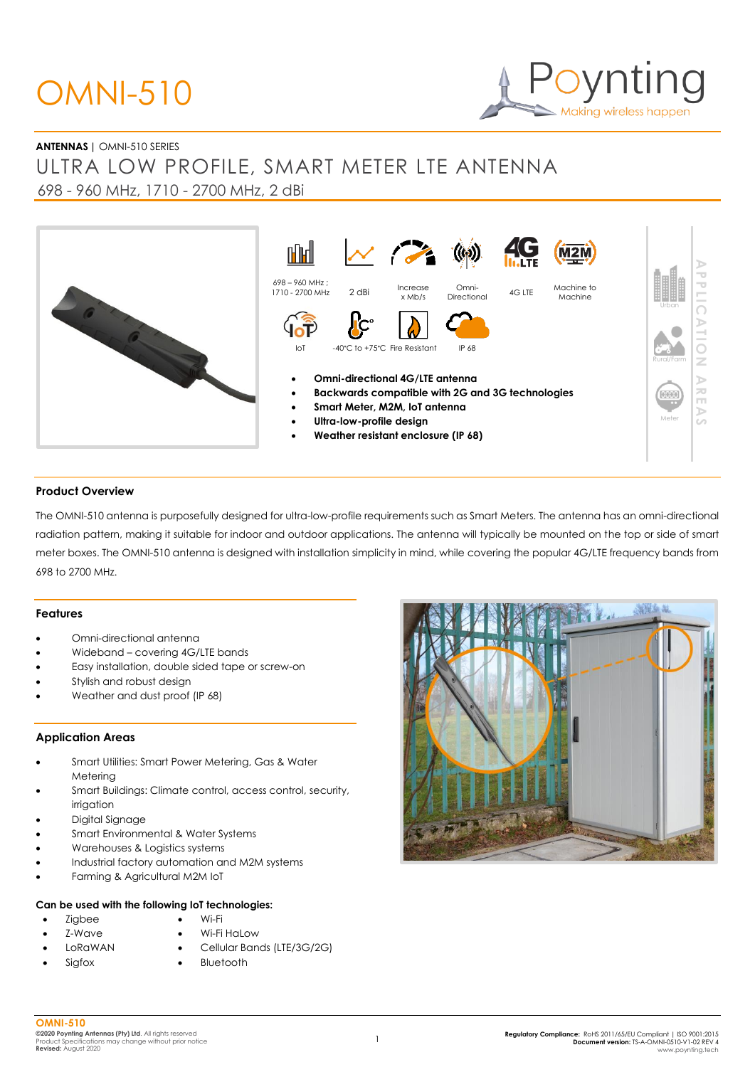# OMNI-510



# **ANTENNAS |** OMNI-510 SERIES

ULTRA LOW PROFILE, SMART METER LTE ANTENNA 698 - 960 MHz, 1710 - 2700 MHz, 2 dBi



## **Product Overview**

The OMNI-510 antenna is purposefully designed for ultra-low-profile requirements such as Smart Meters. The antenna has an omni-directional radiation pattern, making it suitable for indoor and outdoor applications. The antenna will typically be mounted on the top or side of smart meter boxes. The OMNI-510 antenna is designed with installation simplicity in mind, while covering the popular 4G/LTE frequency bands from 698 to 2700 MHz.

## **Features**

- Omni-directional antenna
- Wideband covering 4G/LTE bands
- Easy installation, double sided tape or screw-on
- Stylish and robust design
- Weather and dust proof (IP 68)

## **Application Areas**

- Smart Utilities: Smart Power Metering, Gas & Water Metering
- Smart Buildings: Climate control, access control, security, irrigation
- Digital Signage
- Smart Environmental & Water Systems
- Warehouses & Logistics systems
- Industrial factory automation and M2M systems
- Farming & Agricultural M2M IoT

## **Can be used with the following IoT technologies:**

- Zigbee
- Wi-Fi
- Z-Wave • LoRaWAN

**Sigfox** 

- Wi-Fi HaLow
- Cellular Bands (LTE/3G/2G)
- **Bluetooth**

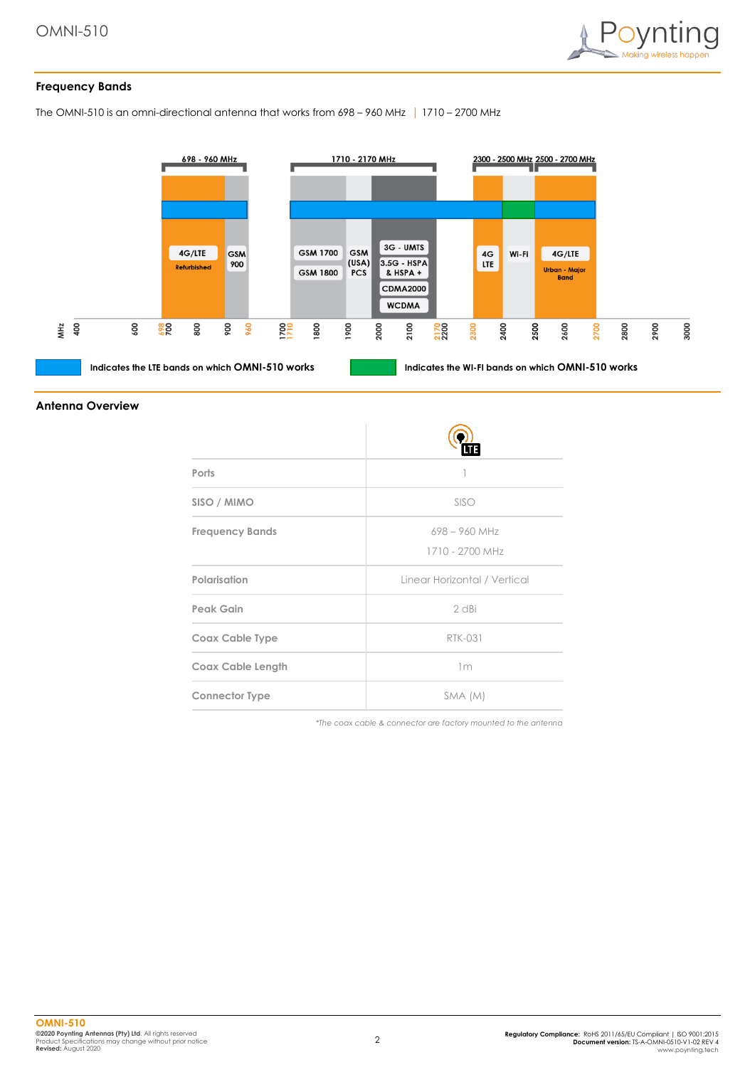

# **Frequency Bands**

The OMNI-510 is an omni-directional antenna that works from 698 – 960 MHz | 1710 – 2700 MHz



#### **Antenna Overview**

| Ports                    |                                    |
|--------------------------|------------------------------------|
| SISO / MIMO              | SISO                               |
| <b>Frequency Bands</b>   | $698 - 960$ MHz<br>1710 - 2700 MHz |
| Polarisation             | Linear Horizontal / Vertical       |
| <b>Peak Gain</b>         | 2 dBi                              |
| Coax Cable Type          | <b>RTK-031</b>                     |
| <b>Coax Cable Length</b> | 1 <sub>m</sub>                     |
| <b>Connector Type</b>    | SMA (M)                            |

*\*The coax cable & connector are factory mounted to the antenna*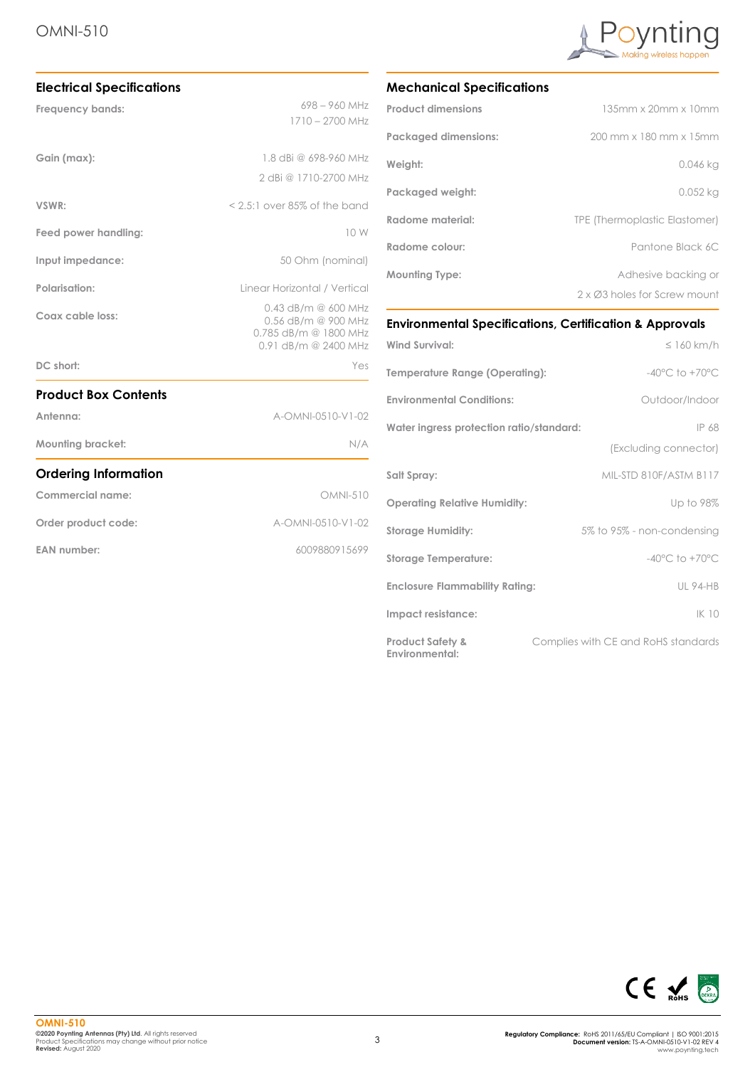

| <b>Electrical Specifications</b> |                                                |  |
|----------------------------------|------------------------------------------------|--|
| Frequency bands:                 | $698 - 960$ MHz                                |  |
|                                  | 1710 - 2700 MHz                                |  |
| Gain (max):                      | 1.8 dBi @ 698-960 MHz                          |  |
|                                  | 2 dBi @ 1710-2700 MHz                          |  |
| VSWR:                            | $< 2.5$ :1 over 85% of the band                |  |
| Feed power handling:             | 10 W                                           |  |
| Input impedance:                 | 50 Ohm (nominal)                               |  |
| Polarisation:                    | Linear Horizontal / Vertical                   |  |
| Coax cable loss:                 | $0.43$ dB/m $@$ 600 MHz<br>0.56 dB/m @ 900 MHz |  |
|                                  | 0.785 dB/m @ 1800 MHz<br>0.91 dB/m @ 2400 MHz  |  |
| DC short:                        | Yes                                            |  |
| <b>Product Box Contents</b>      |                                                |  |
| Antenna:                         | A-OMNI-0510-V1-02                              |  |
| <b>Mounting bracket:</b>         | N/A                                            |  |
| <b>Ordering Information</b>      |                                                |  |
| Commercial name:                 | <b>OMNI-510</b>                                |  |
| Order product code:              | A-OMNI-0510-V1-02                              |  |
| <b>EAN number:</b>               | 6009880915699                                  |  |
|                                  |                                                |  |

# **Mechanical Specifications**

| <b>Product dimensions</b>   | 135mm x 20mm x 10mm           |
|-----------------------------|-------------------------------|
| <b>Packaged dimensions:</b> | 200 mm x 180 mm x 15mm        |
| Weight:                     | 0.046 kg                      |
| Packaged weight:            | $0.052$ kg                    |
| Radome material:            | TPE (Thermoplastic Elastomer) |
| Radome colour:              | Pantone Black 6C              |
| <b>Mounting Type:</b>       | Adhesive backing or           |
|                             | 2 x Ø3 holes for Screw mount  |

# **Environmental Specifications, Certification & Approvals**

| <b>Wind Survival:</b>                         | $\leq 160$ km/h                     |
|-----------------------------------------------|-------------------------------------|
| Temperature Range (Operating):                | $-40^{\circ}$ C to $+70^{\circ}$ C  |
| <b>Environmental Conditions:</b>              | Outdoor/Indoor                      |
| Water ingress protection ratio/standard:      | IP 68                               |
|                                               | (Excluding connector)               |
| Salt Spray:                                   | MIL-STD 810F/ASTM B117              |
| <b>Operating Relative Humidity:</b>           | Up to 98%                           |
| <b>Storage Humidity:</b>                      | 5% to 95% - non-condensing          |
| <b>Storage Temperature:</b>                   | $-40^{\circ}$ C to $+70^{\circ}$ C  |
| <b>Enclosure Flammability Rating:</b>         | <b>UL 94-HB</b>                     |
| Impact resistance:                            | IK 10                               |
| <b>Product Safety &amp;</b><br>Environmental: | Complies with CE and RoHS standards |

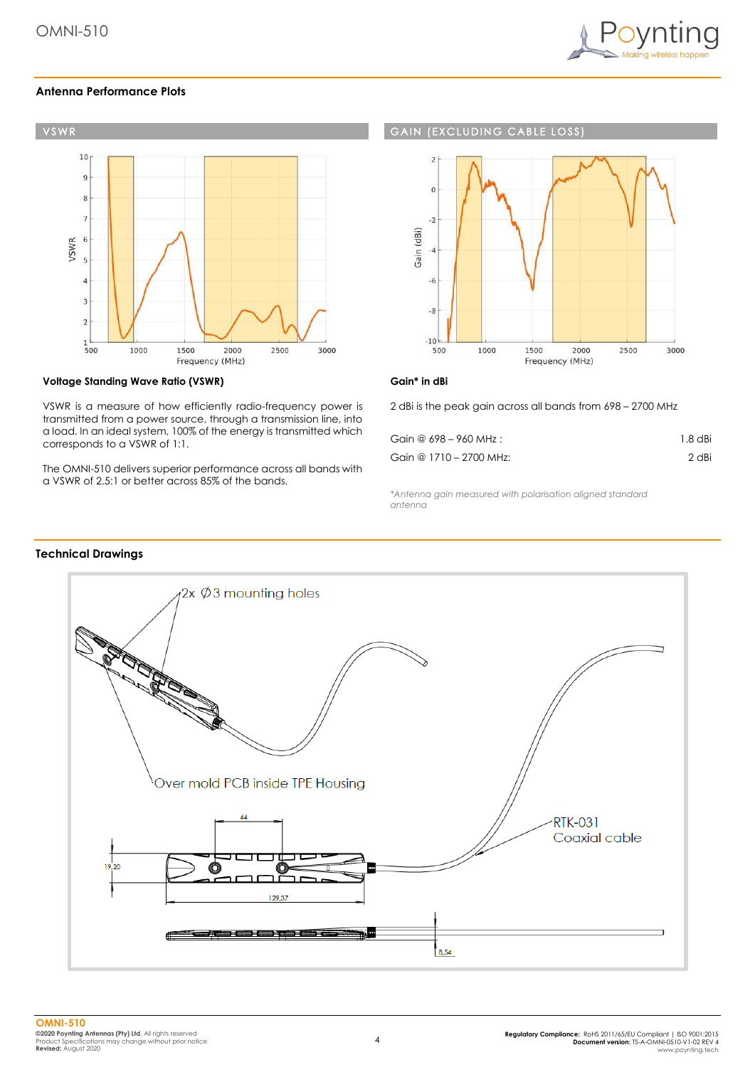

# **Antenna Performance Plots**



# **Voltage Standing Wave Ratio (VSWR)**

VSWR is a measure of how efficiently radio-frequency power is transmitted from a power source, through a transmission line, into a load. In an ideal system, 100% of the energy is transmitted which corresponds to a VSWR of 1:1.

The OMNI-510 delivers superior performance across all bands with a VSWR of 2.5:1 or better across 85% of the bands.

# **GAIN (EXCLUDING CABLE LOSS**



## **Gain\* in dBi**

2 dBi is the peak gain across all bands from 698 – 2700 MHz

| Gain @ 698 - 960 MHz :  | $1.8$ dBi |
|-------------------------|-----------|
| Gain @ 1710 - 2700 MHz: | 2 dBi     |

*\*Antenna gain measured with polarisation aligned standard antenna*

## **Technical Drawings**

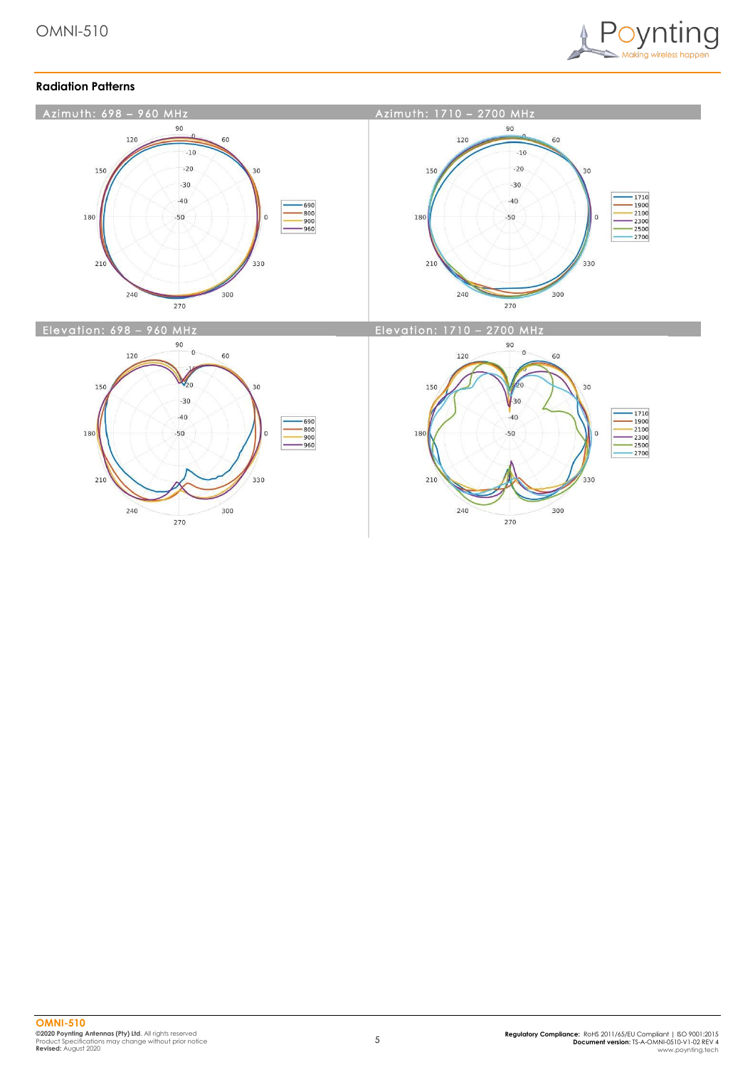

# **Radiation Patterns**

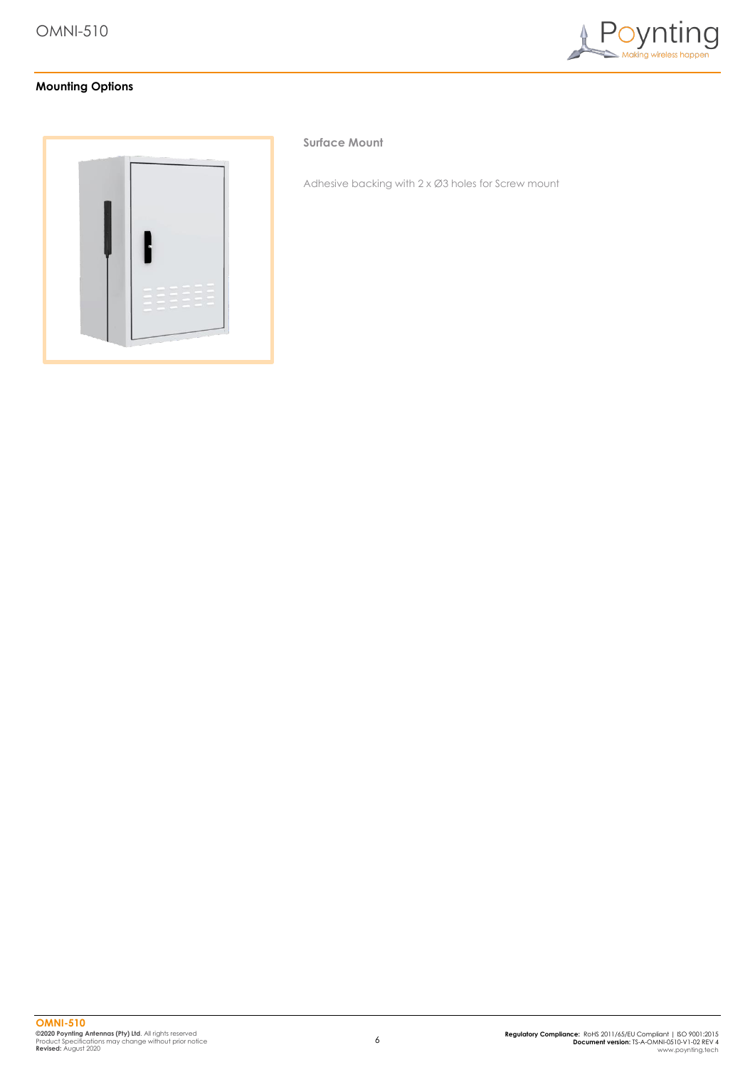

# **Mounting Options**



## **Surface Mount**

Adhesive backing with 2 x Ø3 holes for Screw mount